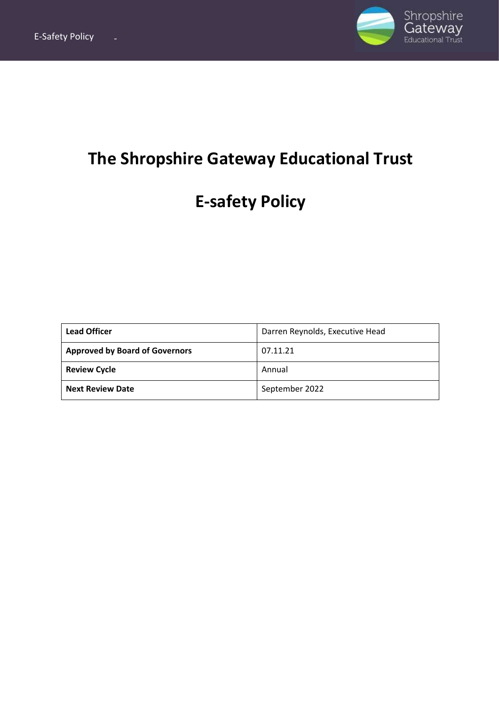

## **The Shropshire Gateway Educational Trust**

# **E-safety Policy**

| <b>Lead Officer</b>                   | Darren Reynolds, Executive Head |
|---------------------------------------|---------------------------------|
| <b>Approved by Board of Governors</b> | 07.11.21                        |
| <b>Review Cycle</b>                   | Annual                          |
| <b>Next Review Date</b>               | September 2022                  |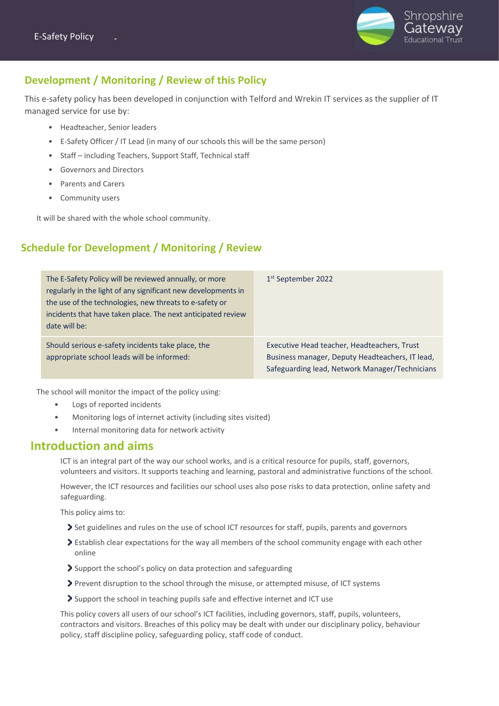

## **Development / Monitoring / Review of this Policy**

This e-safety policy has been developed in conjunction with Telford and Wrekin IT services as the supplier of IT managed service for use by:

- Headteacher, Senior leaders
- E-Safety Officer / IT Lead (in many of our schools this will be the same person)
- Staff including Teachers, Support Staff, Technical staff
- Governors and Directors
- Parents and Carers
- Community users

It will be shared with the whole school community.

## **Schedule for Development / Monitoring / Review**

| The E-Safety Policy will be reviewed annually, or more<br>regularly in the light of any significant new developments in<br>the use of the technologies, new threats to e-safety or<br>incidents that have taken place. The next anticipated review<br>date will be: | 1 <sup>st</sup> September 2022                                                                                                                   |
|---------------------------------------------------------------------------------------------------------------------------------------------------------------------------------------------------------------------------------------------------------------------|--------------------------------------------------------------------------------------------------------------------------------------------------|
| Should serious e-safety incidents take place, the<br>appropriate school leads will be informed:                                                                                                                                                                     | Executive Head teacher, Headteachers, Trust<br>Business manager, Deputy Headteachers, IT lead,<br>Safeguarding lead, Network Manager/Technicians |

The school will monitor the impact of the policy using:

- Logs of reported incidents
- Monitoring logs of internet activity (including sites visited)
- Internal monitoring data for network activity

## **Introduction and aims**

ICT is an integral part of the way our school works, and is a critical resource for pupils, staff, governors, volunteers and visitors. It supports teaching and learning, pastoral and administrative functions of the school.

However, the ICT resources and facilities our school uses also pose risks to data protection, online safety and safeguarding.

This policy aims to:

- Set guidelines and rules on the use of school ICT resources for staff, pupils, parents and governors
- Establish clear expectations for the way all members of the school community engage with each other online
- Support the school's policy on data protection and safeguarding
- Prevent disruption to the school through the misuse, or attempted misuse, of ICT systems
- Support the school in teaching pupils safe and effective internet and ICT use

This policy covers all users of our school's ICT facilities, including governors, staff, pupils, volunteers, contractors and visitors. Breaches of this policy may be dealt with under our disciplinary policy, behaviour policy, staff discipline policy, safeguarding policy, staff code of conduct.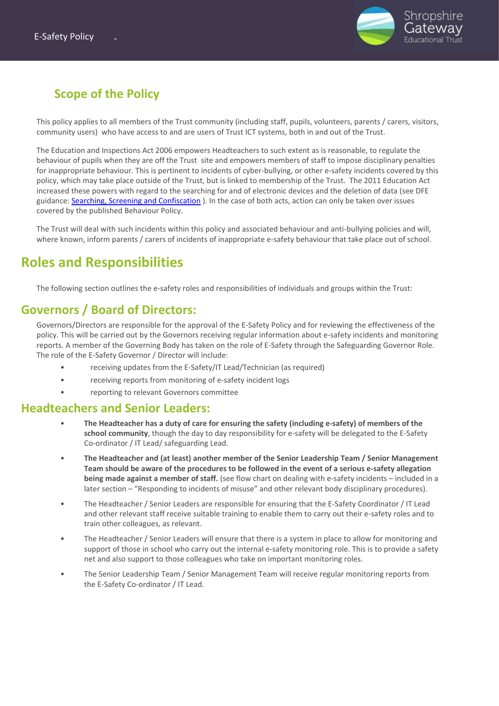

## **Scope of the Policy**

This policy applies to all members of the Trust community (including staff, pupils, volunteers, parents / carers, visitors, community users) who have access to and are users of Trust ICT systems, both in and out of the Trust.

The Education and Inspections Act 2006 empowers Headteachers to such extent as is reasonable, to regulate the behaviour of pupils when they are off the Trust site and empowers members of staff to impose disciplinary penalties for inappropriate behaviour. This is pertinent to incidents of cyber-bullying, or other e-safety incidents covered by this policy, which may take place outside of the Trust, but is linked to membership of the Trust. The 2011 Education Act increased these powers with regard to the searching for and of electronic devices and the deletion of data (see DFE guidance[: Searching, Screening and Confiscation](https://assets.publishing.service.gov.uk/government/uploads/system/uploads/attachment_data/file/674416/Searching_screening_and_confiscation.pdf) ). In the case of both acts, action can only be taken over issues covered by the published Behaviour Policy.

The Trust will deal with such incidents within this policy and associated behaviour and anti-bullying policies and will, where known, inform parents / carers of incidents of inappropriate e-safety behaviour that take place out of school.

## **Roles and Responsibilities**

The following section outlines the e-safety roles and responsibilities of individuals and groups within the Trust:

## **Governors / Board of Directors:**

Governors/Directors are responsible for the approval of the E-Safety Policy and for reviewing the effectiveness of the policy. This will be carried out by the Governors receiving regular information about e-safety incidents and monitoring reports. A member of the Governing Body has taken on the role of E-Safety through the Safeguarding Governor Role. The role of the E-Safety Governor / Director will include:

- receiving updates from the E-Safety/IT Lead/Technician (as required)
- receiving reports from monitoring of e-safety incident logs
- reporting to relevant Governors committee

#### **Headteachers and Senior Leaders:**

- **The Headteacher has a duty of care for ensuring the safety (including e-safety) of members of the school community**, though the day to day responsibility for e-safety will be delegated to the E-Safety Co-ordinator / IT Lead/ safeguarding Lead.
- **The Headteacher and (at least) another member of the Senior Leadership Team / Senior Management Team should be aware of the procedures to be followed in the event of a serious e-safety allegation being made against a member of staff.** (see flow chart on dealing with e-safety incidents – included in a later section – "Responding to incidents of misuse" and other relevant body disciplinary procedures).
- The Headteacher / Senior Leaders are responsible for ensuring that the E-Safety Coordinator / IT Lead and other relevant staff receive suitable training to enable them to carry out their e-safety roles and to train other colleagues, as relevant.
- The Headteacher / Senior Leaders will ensure that there is a system in place to allow for monitoring and support of those in school who carry out the internal e-safety monitoring role. This is to provide a safety net and also support to those colleagues who take on important monitoring roles.
- The Senior Leadership Team / Senior Management Team will receive regular monitoring reports from the E-Safety Co-ordinator / IT Lead.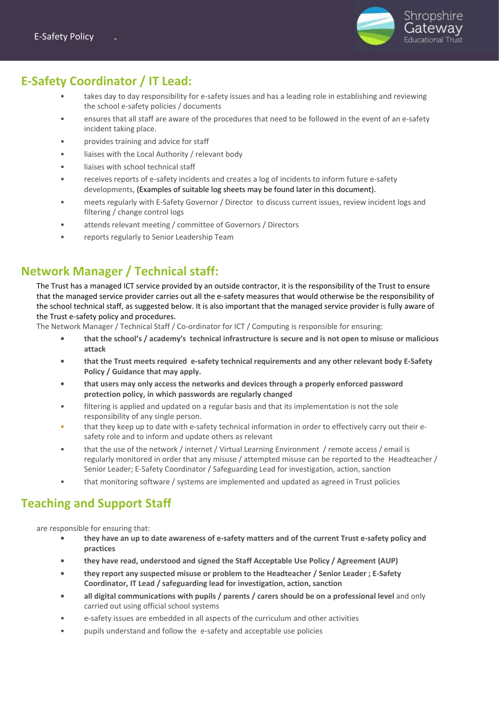

## **E-Safety Coordinator / IT Lead:**

- takes day to day responsibility for e-safety issues and has a leading role in establishing and reviewing the school e-safety policies / documents
- ensures that all staff are aware of the procedures that need to be followed in the event of an e-safety incident taking place.
- provides training and advice for staff
- liaises with the Local Authority / relevant body
- liaises with school technical staff
- receives reports of e-safety incidents and creates a log of incidents to inform future e-safety developments, (Examples of suitable log sheets may be found later in this document).
- meets regularly with E-Safety Governor / Director to discuss current issues, review incident logs and filtering / change control logs
- attends relevant meeting / committee of Governors / Directors
- reports regularly to Senior Leadership Team

## **Network Manager / Technical staff:**

The Trust has a managed ICT service provided by an outside contractor, it is the responsibility of the Trust to ensure that the managed service provider carries out all the e-safety measures that would otherwise be the responsibility of the school technical staff, as suggested below. It is also important that the managed service provider is fully aware of the Trust e-safety policy and procedures.

The Network Manager / Technical Staff / Co-ordinator for ICT / Computing is responsible for ensuring:

- **• that the school's / academy's technical infrastructure is secure and is not open to misuse or malicious attack**
- **• that the Trust meets required e-safety technical requirements and any other relevant body E-Safety Policy / Guidance that may apply.**
- **• that users may only access the networks and devices through a properly enforced password protection policy, in which passwords are regularly changed**
- filtering is applied and updated on a regular basis and that its implementation is not the sole responsibility of any single person.
- that they keep up to date with e-safety technical information in order to effectively carry out their esafety role and to inform and update others as relevant
- that the use of the network / internet / Virtual Learning Environment / remote access / email is regularly monitored in order that any misuse / attempted misuse can be reported to the Headteacher / Senior Leader; E-Safety Coordinator / Safeguarding Lead for investigation, action, sanction
- that monitoring software / systems are implemented and updated as agreed in Trust policies

## **Teaching and Support Staff**

are responsible for ensuring that:

- **• they have an up to date awareness of e-safety matters and of the current Trust e-safety policy and practices**
- **• they have read, understood and signed the Staff Acceptable Use Policy / Agreement (AUP)**
- **• they report any suspected misuse or problem to the Headteacher / Senior Leader ; E-Safety Coordinator, IT Lead / safeguarding lead for investigation, action, sanction**
- **• all digital communications with pupils / parents / carers should be on a professional level** and only carried out using official school systems
- e-safety issues are embedded in all aspects of the curriculum and other activities
- pupils understand and follow the e-safety and acceptable use policies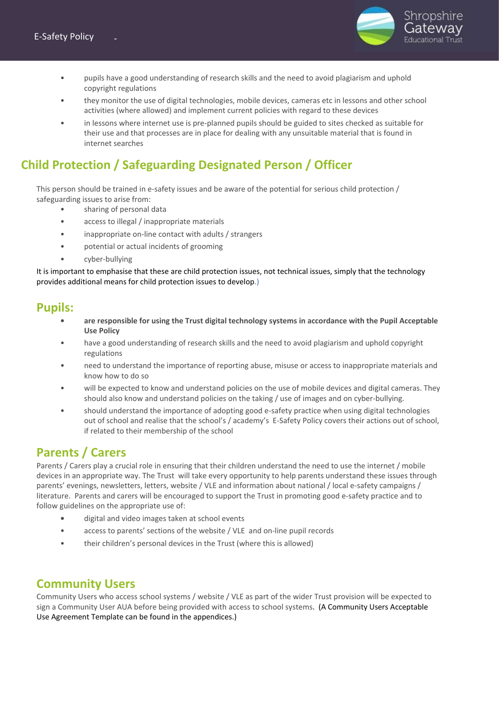

- pupils have a good understanding of research skills and the need to avoid plagiarism and uphold copyright regulations
- they monitor the use of digital technologies, mobile devices, cameras etc in lessons and other school activities (where allowed) and implement current policies with regard to these devices
- in lessons where internet use is pre-planned pupils should be guided to sites checked as suitable for their use and that processes are in place for dealing with any unsuitable material that is found in internet searches

## **Child Protection / Safeguarding Designated Person / Officer**

This person should be trained in e-safety issues and be aware of the potential for serious child protection / safeguarding issues to arise from:

- sharing of personal data
- access to illegal / inappropriate materials
- inappropriate on-line contact with adults / strangers
- potential or actual incidents of grooming
- cyber-bullying

It is important to emphasise that these are child protection issues, not technical issues, simply that the technology provides additional means for child protection issues to develop.)

#### **Pupils:**

- **• are responsible for using the Trust digital technology systems in accordance with the Pupil Acceptable Use Policy**
- have a good understanding of research skills and the need to avoid plagiarism and uphold copyright regulations
- need to understand the importance of reporting abuse, misuse or access to inappropriate materials and know how to do so
- will be expected to know and understand policies on the use of mobile devices and digital cameras. They should also know and understand policies on the taking / use of images and on cyber-bullying.
- should understand the importance of adopting good e-safety practice when using digital technologies out of school and realise that the school's / academy's E-Safety Policy covers their actions out of school, if related to their membership of the school

## **Parents / Carers**

Parents / Carers play a crucial role in ensuring that their children understand the need to use the internet / mobile devices in an appropriate way. The Trust will take every opportunity to help parents understand these issues through parents' evenings, newsletters, letters, website / VLE and information about national / local e-safety campaigns / literature. Parents and carers will be encouraged to support the Trust in promoting good e-safety practice and to follow guidelines on the appropriate use of:

- **•** digital and video images taken at school events
- access to parents' sections of the website / VLE and on-line pupil records
- their children's personal devices in the Trust (where this is allowed)

## **Community Users**

Community Users who access school systems / website / VLE as part of the wider Trust provision will be expected to sign a Community User AUA before being provided with access to school systems. (A Community Users Acceptable Use Agreement Template can be found in the appendices.)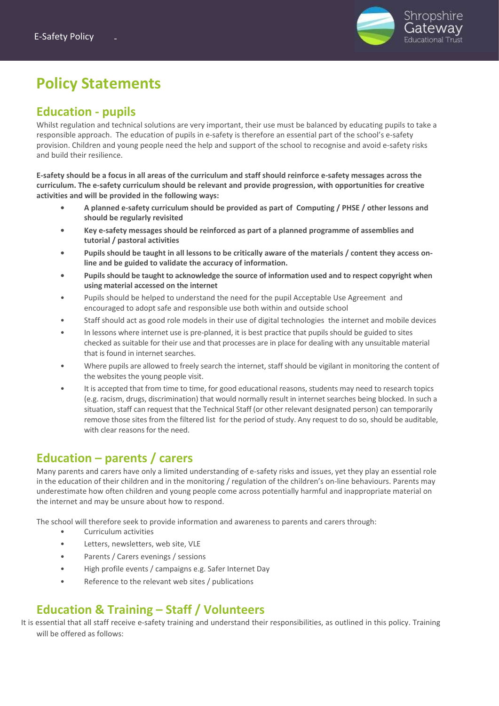

## **Policy Statements**

## **Education - pupils**

Whilst regulation and technical solutions are very important, their use must be balanced by educating pupils to take a responsible approach. The education of pupils in e-safety is therefore an essential part of the school's e-safety provision. Children and young people need the help and support of the school to recognise and avoid e-safety risks and build their resilience.

**E-safety should be a focus in all areas of the curriculum and staff should reinforce e-safety messages across the curriculum. The e-safety curriculum should be relevant and provide progression, with opportunities for creative activities and will be provided in the following ways:**

- **• A planned e-safety curriculum should be provided as part of Computing / PHSE / other lessons and should be regularly revisited**
- **• Key e-safety messages should be reinforced as part of a planned programme of assemblies and tutorial / pastoral activities**
- **• Pupils should be taught in all lessons to be critically aware of the materials / content they access online and be guided to validate the accuracy of information.**
- **• Pupils should be taught to acknowledge the source of information used and to respect copyright when using material accessed on the internet**
- Pupils should be helped to understand the need for the pupil Acceptable Use Agreement and encouraged to adopt safe and responsible use both within and outside school
- Staff should act as good role models in their use of digital technologies the internet and mobile devices
- In lessons where internet use is pre-planned, it is best practice that pupils should be guided to sites checked as suitable for their use and that processes are in place for dealing with any unsuitable material that is found in internet searches.
- Where pupils are allowed to freely search the internet, staff should be vigilant in monitoring the content of the websites the young people visit.
- It is accepted that from time to time, for good educational reasons, students may need to research topics (e.g. racism, drugs, discrimination) that would normally result in internet searches being blocked. In such a situation, staff can request that the Technical Staff (or other relevant designated person) can temporarily remove those sites from the filtered list for the period of study. Any request to do so, should be auditable, with clear reasons for the need.

## **Education – parents / carers**

Many parents and carers have only a limited understanding of e-safety risks and issues, yet they play an essential role in the education of their children and in the monitoring / regulation of the children's on-line behaviours. Parents may underestimate how often children and young people come across potentially harmful and inappropriate material on the internet and may be unsure about how to respond.

The school will therefore seek to provide information and awareness to parents and carers through:

- Curriculum activities
- Letters, newsletters, web site, VLE
- Parents / Carers evenings / sessions
- High profile events / campaigns e.g. Safer Internet Day
- Reference to the relevant web sites / publications

## **Education & Training – Staff / Volunteers**

It is essential that all staff receive e-safety training and understand their responsibilities, as outlined in this policy. Training will be offered as follows: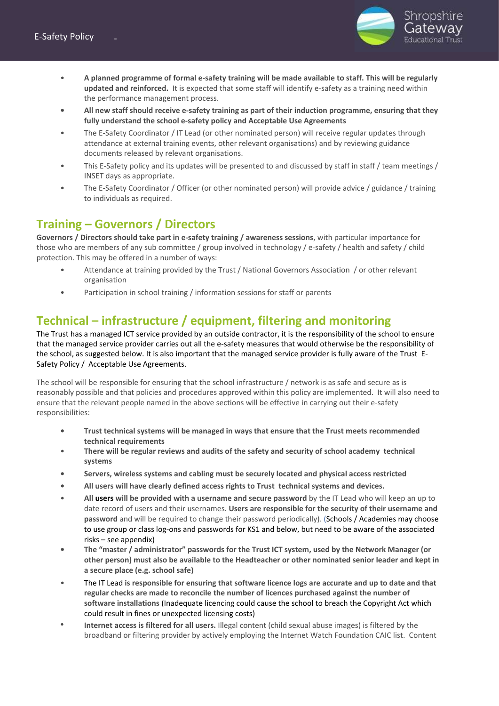

- **A planned programme of formal e-safety training will be made available to staff. This will be regularly updated and reinforced.** It is expected that some staff will identify e-safety as a training need within the performance management process.
- **• All new staff should receive e-safety training as part of their induction programme, ensuring that they fully understand the school e-safety policy and Acceptable Use Agreements**
- The E-Safety Coordinator / IT Lead (or other nominated person) will receive regular updates through attendance at external training events, other relevant organisations) and by reviewing guidance documents released by relevant organisations.
- This E-Safety policy and its updates will be presented to and discussed by staff in staff / team meetings / INSET days as appropriate.
- The E-Safety Coordinator / Officer (or other nominated person) will provide advice / guidance / training to individuals as required.

## **Training – Governors / Directors**

**Governors / Directors should take part in e-safety training / awareness sessions**, with particular importance for those who are members of any sub committee / group involved in technology / e-safety / health and safety / child protection. This may be offered in a number of ways:

- Attendance at training provided by the Trust / National Governors Association / or other relevant organisation
- Participation in school training / information sessions for staff or parents

## **Technical – infrastructure / equipment, filtering and monitoring**

The Trust has a managed ICT service provided by an outside contractor, it is the responsibility of the school to ensure that the managed service provider carries out all the e-safety measures that would otherwise be the responsibility of the school, as suggested below. It is also important that the managed service provider is fully aware of the Trust E-Safety Policy / Acceptable Use Agreements.

The school will be responsible for ensuring that the school infrastructure / network is as safe and secure as is reasonably possible and that policies and procedures approved within this policy are implemented. It will also need to ensure that the relevant people named in the above sections will be effective in carrying out their e-safety responsibilities:

- **• Trust technical systems will be managed in ways that ensure that the Trust meets recommended technical requirements**
- **There will be regular reviews and audits of the safety and security of school academy technical systems**
- **• Servers, wireless systems and cabling must be securely located and physical access restricted**
- **• All users will have clearly defined access rights to Trust technical systems and devices.**
- **All users will be provided with a username and secure password** by the IT Lead who will keep an up to date record of users and their usernames. **Users are responsible for the security of their username and password** and will be required to change their password periodically). (Schools / Academies may choose to use group or class log-ons and passwords for KS1 and below, but need to be aware of the associated risks – see appendix)
- **• The "master / administrator" passwords for the Trust ICT system, used by the Network Manager (or other person) must also be available to the Headteacher or other nominated senior leader and kept in a secure place (e.g. school safe)**
- The IT Lead **is responsible for ensuring that software licence logs are accurate and up to date and that regular checks are made to reconcile the number of licences purchased against the number of software installations** (Inadequate licencing could cause the school to breach the Copyright Act which could result in fines or unexpected licensing costs)
- *•* **Internet access is filtered for all users.** Illegal content (child sexual abuse images) is filtered by the broadband or filtering provider by actively employing the Internet Watch Foundation CAIC list. Content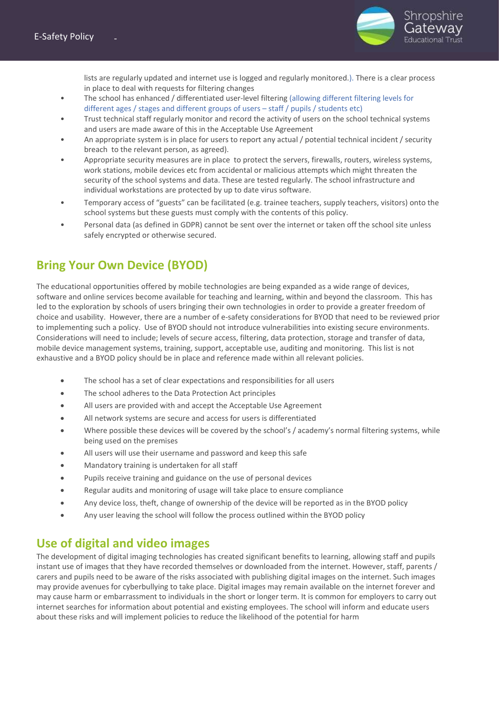

lists are regularly updated and internet use is logged and regularly monitored.). There is a clear process in place to deal with requests for filtering changes

- The school has enhanced / differentiated user-level filtering (allowing different filtering levels for different ages / stages and different groups of users – staff / pupils / students etc)
- Trust technical staff regularly monitor and record the activity of users on the school technical systems and users are made aware of this in the Acceptable Use Agreement
- An appropriate system is in place for users to report any actual / potential technical incident / security breach to the relevant person, as agreed).
- Appropriate security measures are in place to protect the servers, firewalls, routers, wireless systems, work stations, mobile devices etc from accidental or malicious attempts which might threaten the security of the school systems and data. These are tested regularly. The school infrastructure and individual workstations are protected by up to date virus software.
- Temporary access of "guests" can be facilitated (e.g. trainee teachers, supply teachers, visitors) onto the school systems but these guests must comply with the contents of this policy.
- Personal data (as defined in GDPR) cannot be sent over the internet or taken off the school site unless safely encrypted or otherwise secured.

## **Bring Your Own Device (BYOD)**

The educational opportunities offered by mobile technologies are being expanded as a wide range of devices, software and online services become available for teaching and learning, within and beyond the classroom. This has led to the exploration by schools of users bringing their own technologies in order to provide a greater freedom of choice and usability. However, there are a number of e-safety considerations for BYOD that need to be reviewed prior to implementing such a policy. Use of BYOD should not introduce vulnerabilities into existing secure environments. Considerations will need to include; levels of secure access, filtering, data protection, storage and transfer of data, mobile device management systems, training, support, acceptable use, auditing and monitoring. This list is not exhaustive and a BYOD policy should be in place and reference made within all relevant policies.

- The school has a set of clear expectations and responsibilities for all users
- The school adheres to the Data Protection Act principles
- All users are provided with and accept the Acceptable Use Agreement
- All network systems are secure and access for users is differentiated
- Where possible these devices will be covered by the school's / academy's normal filtering systems, while being used on the premises
- All users will use their username and password and keep this safe
- Mandatory training is undertaken for all staff
- Pupils receive training and guidance on the use of personal devices
- Regular audits and monitoring of usage will take place to ensure compliance
- Any device loss, theft, change of ownership of the device will be reported as in the BYOD policy
- Any user leaving the school will follow the process outlined within the BYOD policy

## **Use of digital and video images**

The development of digital imaging technologies has created significant benefits to learning, allowing staff and pupils instant use of images that they have recorded themselves or downloaded from the internet. However, staff, parents / carers and pupils need to be aware of the risks associated with publishing digital images on the internet. Such images may provide avenues for cyberbullying to take place. Digital images may remain available on the internet forever and may cause harm or embarrassment to individuals in the short or longer term. It is common for employers to carry out internet searches for information about potential and existing employees. The school will inform and educate users about these risks and will implement policies to reduce the likelihood of the potential for harm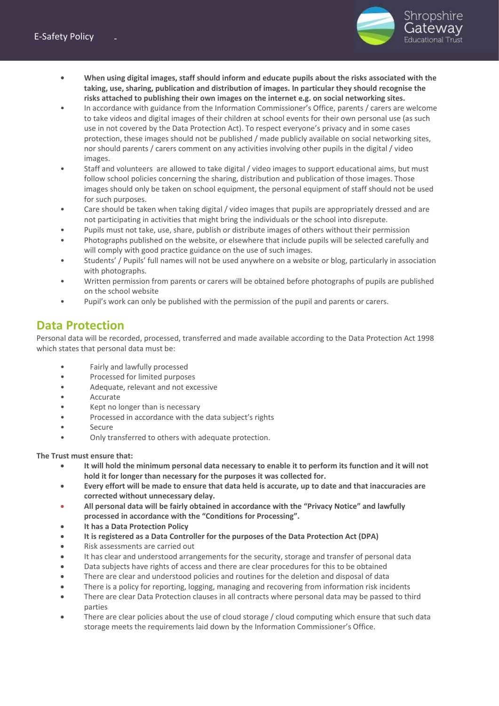

- **• When using digital images, staff should inform and educate pupils about the risks associated with the taking, use, sharing, publication and distribution of images. In particular they should recognise the risks attached to publishing their own images on the internet e.g. on social networking sites.**
- In accordance with guidance from the Information Commissioner's Office, parents / carers are welcome to take videos and digital images of their children at school events for their own personal use (as such use in not covered by the Data Protection Act). To respect everyone's privacy and in some cases protection, these images should not be published / made publicly available on social networking sites, nor should parents / carers comment on any activities involving other pupils in the digital / video images.
- Staff and volunteers are allowed to take digital / video images to support educational aims, but must follow school policies concerning the sharing, distribution and publication of those images. Those images should only be taken on school equipment, the personal equipment of staff should not be used for such purposes.
- Care should be taken when taking digital / video images that pupils are appropriately dressed and are not participating in activities that might bring the individuals or the school into disrepute.
- Pupils must not take, use, share, publish or distribute images of others without their permission
- Photographs published on the website, or elsewhere that include pupils will be selected carefully and will comply with good practice guidance on the use of such images.
- Students' / Pupils' full names will not be used anywhere on a website or blog, particularly in association with photographs.
- Written permission from parents or carers will be obtained before photographs of pupils are published on the school website
- Pupil's work can only be published with the permission of the pupil and parents or carers.

## **Data Protection**

Personal data will be recorded, processed, transferred and made available according to the Data Protection Act 1998 which states that personal data must be:

- Fairly and lawfully processed
- Processed for limited purposes
- Adequate, relevant and not excessive
- Accurate
- Kept no longer than is necessary
- Processed in accordance with the data subject's rights
- **Secure**
- Only transferred to others with adequate protection.

**The Trust must ensure that:**

- **It will hold the minimum personal data necessary to enable it to perform its function and it will not hold it for longer than necessary for the purposes it was collected for.**
- **Every effort will be made to ensure that data held is accurate, up to date and that inaccuracies are corrected without unnecessary delay.**
- **All personal data will be fairly obtained in accordance with the "Privacy Notice" and lawfully processed in accordance with the "Conditions for Processing".**
- **It has a Data Protection Policy**
- **It is registered as a Data Controller for the purposes of the Data Protection Act (DPA)**
- Risk assessments are carried out
- It has clear and understood arrangements for the security, storage and transfer of personal data
- Data subjects have rights of access and there are clear procedures for this to be obtained
- There are clear and understood policies and routines for the deletion and disposal of data
- There is a policy for reporting, logging, managing and recovering from information risk incidents
- There are clear Data Protection clauses in all contracts where personal data may be passed to third parties
- There are clear policies about the use of cloud storage / cloud computing which ensure that such data storage meets the requirements laid down by the Information Commissioner's Office.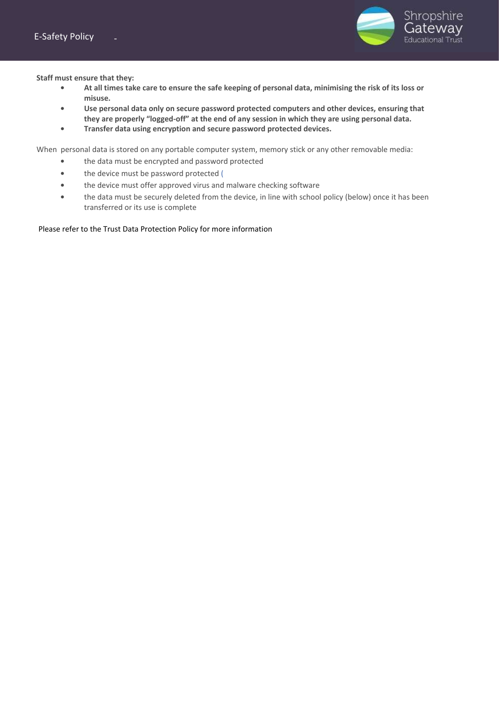

**Staff must ensure that they:**

- **• At all times take care to ensure the safe keeping of personal data, minimising the risk of its loss or misuse.**
- **• Use personal data only on secure password protected computers and other devices, ensuring that they are properly "logged-off" at the end of any session in which they are using personal data.**
- **• Transfer data using encryption and secure password protected devices.**

When personal data is stored on any portable computer system, memory stick or any other removable media:

- **•** the data must be encrypted and password protected
- **•** the device must be password protected (
- **•** the device must offer approved virus and malware checking software
- **•** the data must be securely deleted from the device, in line with school policy (below) once it has been transferred or its use is complete

#### Please refer to the Trust Data Protection Policy for more information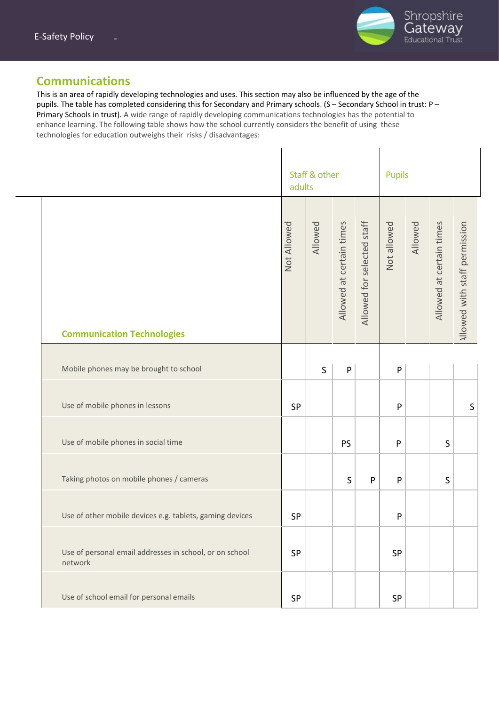

## **Communications**

This is an area of rapidly developing technologies and uses. This section may also be influenced by the age of the pupils. The table has completed considering this for Secondary and Primary schools. (S – Secondary School in trust: P – Primary Schools in trust). A wide range of rapidly developing communications technologies has the potential to enhance learning. The following table shows how the school currently considers the benefit of using these technologies for education outweighs their risks / disadvantages:

|                                                                    | adults      | Staff & other |                          |                            | <b>Pupils</b> |         |                          |                               |
|--------------------------------------------------------------------|-------------|---------------|--------------------------|----------------------------|---------------|---------|--------------------------|-------------------------------|
| <b>Communication Technologies</b>                                  | Not Allowed | Allowed       | Allowed at certain times | Allowed for selected staff | Not allowed   | Allowed | Allowed at certain times | Allowed with staff permission |
|                                                                    |             |               |                          |                            |               |         |                          |                               |
| Mobile phones may be brought to school                             |             | $\mathsf{S}$  | $\mathsf{P}$             |                            | $\mathsf{P}$  |         |                          |                               |
| Use of mobile phones in lessons                                    | SP          |               |                          |                            | ${\sf P}$     |         |                          | $\sf S$                       |
| Use of mobile phones in social time                                |             |               | <b>PS</b>                |                            | P             |         | S                        |                               |
| Taking photos on mobile phones / cameras                           |             |               | $\mathsf S$              | P                          | $\mathsf{P}$  |         | $\mathsf S$              |                               |
| Use of other mobile devices e.g. tablets, gaming devices           | SP          |               |                          |                            | P             |         |                          |                               |
| Use of personal email addresses in school, or on school<br>network | SP          |               |                          |                            | SP            |         |                          |                               |
| Use of school email for personal emails                            | <b>SP</b>   |               |                          |                            | SP            |         |                          |                               |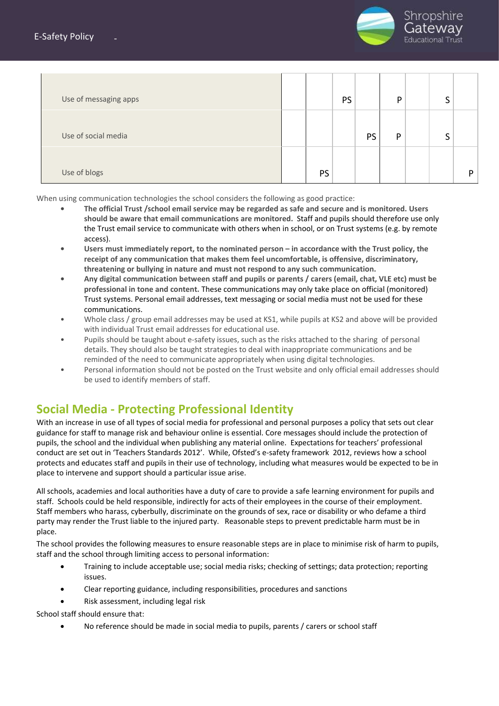

| Use of messaging apps |    | <b>PS</b> |           | D | ◠ |   |
|-----------------------|----|-----------|-----------|---|---|---|
| Use of social media   |    |           | <b>PS</b> | Þ | ◠ |   |
| Use of blogs          | PS |           |           |   |   | D |

When using communication technologies the school considers the following as good practice:

- **• The official Trust /school email service may be regarded as safe and secure and is monitored. Users should be aware that email communications are monitored.** Staff and pupils should therefore use only the Trust email service to communicate with others when in school, or on Trust systems (e.g. by remote access).
- **• Users must immediately report, to the nominated person – in accordance with the Trust policy, the receipt of any communication that makes them feel uncomfortable, is offensive, discriminatory, threatening or bullying in nature and must not respond to any such communication.**
- **• Any digital communication between staff and pupils or parents / carers (email, chat, VLE etc) must be professional in tone and content.** These communications may only take place on official (monitored) Trust systems. Personal email addresses, text messaging or social media must not be used for these communications.
- Whole class / group email addresses may be used at KS1, while pupils at KS2 and above will be provided with individual Trust email addresses for educational use.
- Pupils should be taught about e-safety issues, such as the risks attached to the sharing of personal details. They should also be taught strategies to deal with inappropriate communications and be reminded of the need to communicate appropriately when using digital technologies.
- Personal information should not be posted on the Trust website and only official email addresses should be used to identify members of staff.

## **Social Media - Protecting Professional Identity**

With an increase in use of all types of social media for professional and personal purposes a policy that sets out clear guidance for staff to manage risk and behaviour online is essential. Core messages should include the protection of pupils, the school and the individual when publishing any material online. Expectations for teachers' professional conduct are set out in 'Teachers Standards 2012'. While, Ofsted's e-safety framework 2012, reviews how a school protects and educates staff and pupils in their use of technology, including what measures would be expected to be in place to intervene and support should a particular issue arise.

All schools, academies and local authorities have a duty of care to provide a safe learning environment for pupils and staff. Schools could be held responsible, indirectly for acts of their employees in the course of their employment. Staff members who harass, cyberbully, discriminate on the grounds of sex, race or disability or who defame a third party may render the Trust liable to the injured party. Reasonable steps to prevent predictable harm must be in place.

The school provides the following measures to ensure reasonable steps are in place to minimise risk of harm to pupils, staff and the school through limiting access to personal information:

- Training to include acceptable use; social media risks; checking of settings; data protection; reporting issues.
- Clear reporting guidance, including responsibilities, procedures and sanctions
- Risk assessment, including legal risk

School staff should ensure that:

• No reference should be made in social media to pupils, parents / carers or school staff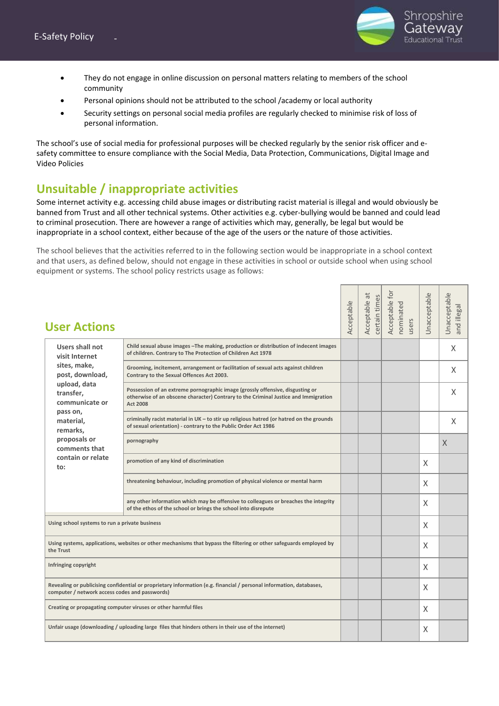

- They do not engage in online discussion on personal matters relating to members of the school community
- Personal opinions should not be attributed to the school /academy or local authority
- Security settings on personal social media profiles are regularly checked to minimise risk of loss of personal information.

The school's use of social media for professional purposes will be checked regularly by the senior risk officer and esafety committee to ensure compliance with the Social Media, Data Protection, Communications, Digital Image and Video Policies

## **Unsuitable / inappropriate activities**

Some internet activity e.g. accessing child abuse images or distributing racist material is illegal and would obviously be banned from Trust and all other technical systems. Other activities e.g. cyber-bullying would be banned and could lead to criminal prosecution. There are however a range of activities which may, generally, be legal but would be inappropriate in a school context, either because of the age of the users or the nature of those activities.

The school believes that the activities referred to in the following section would be inappropriate in a school context and that users, as defined below, should not engage in these activities in school or outside school when using school equipment or systems. The school policy restricts usage as follows:

| <b>User Actions</b>                                                                                                                                                   |                                                                                                                                                                                         | Acceptable | $\vec{a}$<br>certain times<br>Acceptable | Acceptable for<br>nominated<br>users | Unacceptable | Unacceptable<br>and illegal |  |
|-----------------------------------------------------------------------------------------------------------------------------------------------------------------------|-----------------------------------------------------------------------------------------------------------------------------------------------------------------------------------------|------------|------------------------------------------|--------------------------------------|--------------|-----------------------------|--|
| Users shall not<br>visit Internet                                                                                                                                     | Child sexual abuse images - The making, production or distribution of indecent images<br>of children. Contrary to The Protection of Children Act 1978                                   |            |                                          |                                      |              | X                           |  |
| sites, make,<br>post, download,                                                                                                                                       | Grooming, incitement, arrangement or facilitation of sexual acts against children<br>Contrary to the Sexual Offences Act 2003.                                                          |            |                                          |                                      |              | X                           |  |
| upload, data<br>transfer,<br>communicate or                                                                                                                           | Possession of an extreme pornographic image (grossly offensive, disgusting or<br>otherwise of an obscene character) Contrary to the Criminal Justice and Immigration<br><b>Act 2008</b> |            |                                          |                                      |              | X                           |  |
| pass on,<br>material,<br>remarks,                                                                                                                                     | criminally racist material in UK - to stir up religious hatred (or hatred on the grounds<br>of sexual orientation) - contrary to the Public Order Act 1986                              |            |                                          |                                      |              | X                           |  |
| proposals or<br>comments that                                                                                                                                         | pornography                                                                                                                                                                             |            |                                          |                                      |              | $\times$                    |  |
| contain or relate<br>to:                                                                                                                                              | promotion of any kind of discrimination                                                                                                                                                 |            |                                          |                                      | X            |                             |  |
|                                                                                                                                                                       | threatening behaviour, including promotion of physical violence or mental harm                                                                                                          |            |                                          |                                      | X            |                             |  |
|                                                                                                                                                                       | any other information which may be offensive to colleagues or breaches the integrity<br>of the ethos of the school or brings the school into disrepute                                  |            |                                          |                                      | X            |                             |  |
| Using school systems to run a private business                                                                                                                        |                                                                                                                                                                                         |            |                                          |                                      | X            |                             |  |
| the Trust                                                                                                                                                             | Using systems, applications, websites or other mechanisms that bypass the filtering or other safeguards employed by                                                                     |            |                                          |                                      | X            |                             |  |
| Infringing copyright                                                                                                                                                  |                                                                                                                                                                                         |            |                                          |                                      | X            |                             |  |
| Revealing or publicising confidential or proprietary information (e.g. financial / personal information, databases,<br>computer / network access codes and passwords) |                                                                                                                                                                                         |            |                                          | X                                    |              |                             |  |
|                                                                                                                                                                       | Creating or propagating computer viruses or other harmful files<br>X                                                                                                                    |            |                                          |                                      |              |                             |  |
| Unfair usage (downloading / uploading large files that hinders others in their use of the internet)                                                                   |                                                                                                                                                                                         | X          |                                          |                                      |              |                             |  |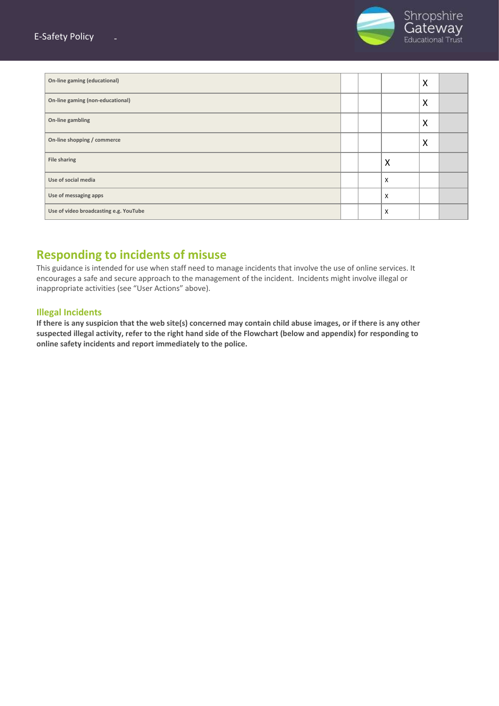

| On-line gaming (educational)           |  |   | X |  |
|----------------------------------------|--|---|---|--|
| On-line gaming (non-educational)       |  |   | X |  |
| On-line gambling                       |  |   | X |  |
| On-line shopping / commerce            |  |   | X |  |
| <b>File sharing</b>                    |  | X |   |  |
| Use of social media                    |  | X |   |  |
| Use of messaging apps                  |  | X |   |  |
| Use of video broadcasting e.g. YouTube |  | X |   |  |

## **Responding to incidents of misuse**

This guidance is intended for use when staff need to manage incidents that involve the use of online services. It encourages a safe and secure approach to the management of the incident. Incidents might involve illegal or inappropriate activities (see "User Actions" above).

#### **Illegal Incidents**

**If there is any suspicion that the web site(s) concerned may contain child abuse images, or if there is any other suspected illegal activity, refer to the right hand side of the Flowchart (below and appendix) for responding to online safety incidents and report immediately to the police.**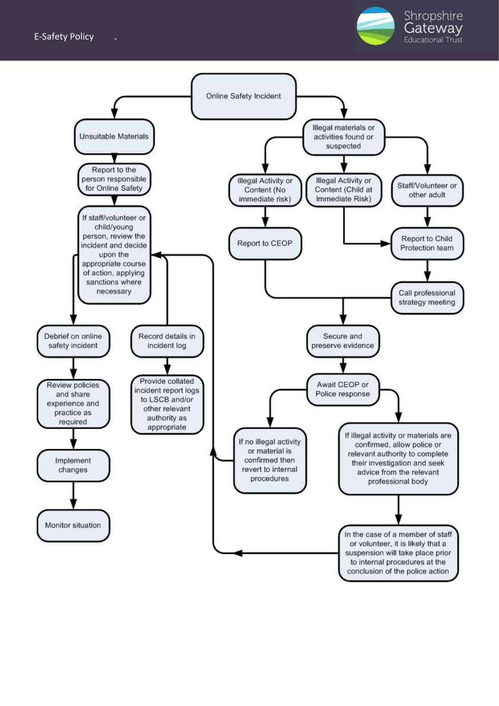#### **E-Safety Policy**



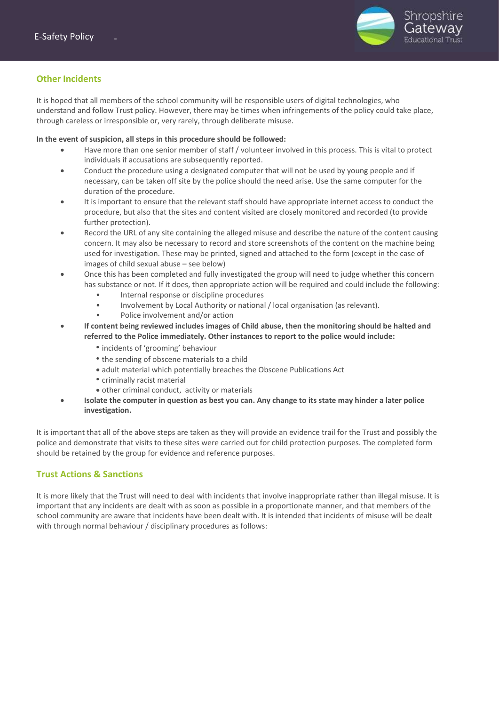

#### **Other Incidents**

It is hoped that all members of the school community will be responsible users of digital technologies, who understand and follow Trust policy. However, there may be times when infringements of the policy could take place, through careless or irresponsible or, very rarely, through deliberate misuse.

**In the event of suspicion, all steps in this procedure should be followed:**

- Have more than one senior member of staff / volunteer involved in this process. This is vital to protect individuals if accusations are subsequently reported.
- Conduct the procedure using a designated computer that will not be used by young people and if necessary, can be taken off site by the police should the need arise. Use the same computer for the duration of the procedure.
- It is important to ensure that the relevant staff should have appropriate internet access to conduct the procedure, but also that the sites and content visited are closely monitored and recorded (to provide further protection).
- Record the URL of any site containing the alleged misuse and describe the nature of the content causing concern. It may also be necessary to record and store screenshots of the content on the machine being used for investigation. These may be printed, signed and attached to the form (except in the case of images of child sexual abuse – see below)
- Once this has been completed and fully investigated the group will need to judge whether this concern has substance or not. If it does, then appropriate action will be required and could include the following:
	- Internal response or discipline procedures
	- Involvement by Local Authority or national / local organisation (as relevant).
	- Police involvement and/or action
- **If content being reviewed includes images of Child abuse, then the monitoring should be halted and referred to the Police immediately. Other instances to report to the police would include:**
	- *•* incidents of 'grooming' behaviour
	- *•* the sending of obscene materials to a child
	- adult material which potentially breaches the Obscene Publications Act
	- *•* criminally racist material
	- other criminal conduct, activity or materials
- **Isolate the computer in question as best you can. Any change to its state may hinder a later police investigation.**

It is important that all of the above steps are taken as they will provide an evidence trail for the Trust and possibly the police and demonstrate that visits to these sites were carried out for child protection purposes. The completed form should be retained by the group for evidence and reference purposes.

#### **Trust Actions & Sanctions**

It is more likely that the Trust will need to deal with incidents that involve inappropriate rather than illegal misuse. It is important that any incidents are dealt with as soon as possible in a proportionate manner, and that members of the school community are aware that incidents have been dealt with. It is intended that incidents of misuse will be dealt with through normal behaviour / disciplinary procedures as follows: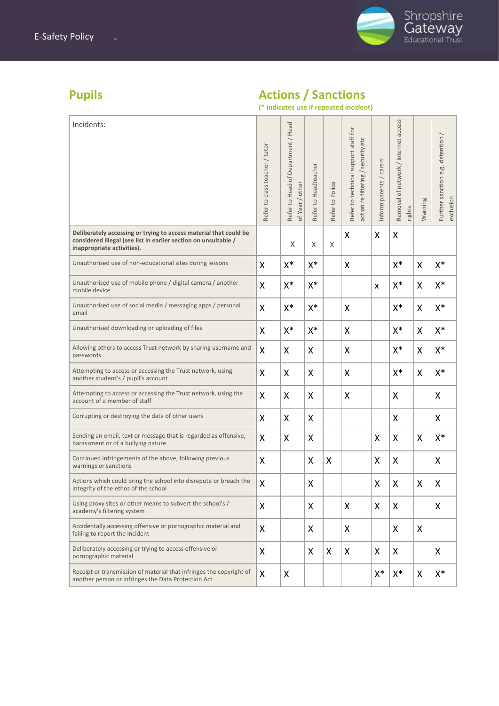

## **Pupils Actions / Sanctions**

|                                                                                                                                                                    |                                |                                                       |                      |                 | (* indicates use if repeated incident)                                     |                         |                                                |         |                                                |
|--------------------------------------------------------------------------------------------------------------------------------------------------------------------|--------------------------------|-------------------------------------------------------|----------------------|-----------------|----------------------------------------------------------------------------|-------------------------|------------------------------------------------|---------|------------------------------------------------|
| Incidents:                                                                                                                                                         | Refer to class teacher / tutor | Refer to Head of Department / Head<br>of Year / other | Refer to Headteacher | Refer to Police | Refer to technical support staff for<br>action re filtering / security etc | Inform parents / carers | Removal of network / internet access<br>rights | Warning | Further sanction e.g. detention /<br>exclusion |
| Deliberately accessing or trying to access material that could be<br>considered illegal (see list in earlier section on unsuitable /<br>inappropriate activities). |                                | X                                                     | X                    | X               | X                                                                          | X                       | X                                              |         |                                                |
| Unauthorised use of non-educational sites during lessons                                                                                                           | X                              | $X^*$                                                 | $X^*$                |                 | X                                                                          |                         | X*                                             | X       | X*                                             |
| Unauthorised use of mobile phone / digital camera / another<br>mobile device                                                                                       | Χ                              | $X^*$                                                 | X*                   |                 |                                                                            | X                       | $X^*$                                          | X       | X*                                             |
| Unauthorised use of social media / messaging apps / personal<br>email                                                                                              | X                              | X*                                                    | X*                   |                 | X                                                                          |                         | X*                                             | X       | $X^*$                                          |
| Unauthorised downloading or uploading of files                                                                                                                     | X                              | $X^*$                                                 | $X^*$                |                 | X                                                                          |                         | $X^*$                                          | X       | X*                                             |
| Allowing others to access Trust network by sharing username and<br>passwords                                                                                       | Χ                              | X                                                     | X                    |                 | X                                                                          |                         | $X^*$                                          | X       | X*                                             |
| Attempting to access or accessing the Trust network, using<br>another student's / pupil's account                                                                  | x                              | X                                                     | X                    |                 | X                                                                          |                         | $X^*$                                          | X       | X*                                             |
| Attempting to access or accessing the Trust network, using the<br>account of a member of staff                                                                     | X                              | X                                                     | X                    |                 | X                                                                          |                         | X                                              |         | X                                              |
| Corrupting or destroying the data of other users                                                                                                                   | X                              | X                                                     | X                    |                 |                                                                            |                         | X                                              |         | X                                              |
| Sending an email, text or message that is regarded as offensive,<br>harassment or of a bullying nature                                                             | X                              | X                                                     | X                    |                 |                                                                            | X                       | X                                              | X       | X*                                             |
| Continued infringements of the above, following previous<br>warnings or sanctions                                                                                  | X                              |                                                       | X                    | Χ               |                                                                            | X                       | X                                              |         | Χ                                              |
| Actions which could bring the school into disrepute or breach the<br>integrity of the ethos of the school                                                          | x                              |                                                       | X                    |                 |                                                                            | X                       | X                                              | X       | Χ                                              |
| Using proxy sites or other means to subvert the school's /<br>academy's filtering system                                                                           | Χ                              |                                                       | X                    |                 | X                                                                          | X                       | X                                              |         | X                                              |
| Accidentally accessing offensive or pornographic material and<br>failing to report the incident                                                                    | Χ                              |                                                       | X                    |                 | X                                                                          |                         | X                                              | X       |                                                |
| Deliberately accessing or trying to access offensive or<br>pornographic material                                                                                   | Χ                              |                                                       | X                    | Χ               | X                                                                          | X                       | X                                              |         | X                                              |
| Receipt or transmission of material that infringes the copyright of<br>another person or infringes the Data Protection Act                                         | X                              | X                                                     |                      |                 |                                                                            | $X^*$                   | $X^*$                                          | X       | X*                                             |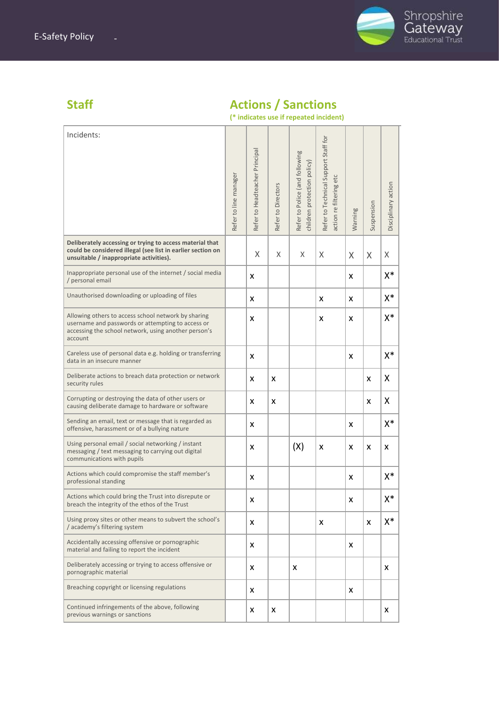

# Shropshire<br>Gateway

## **Staff Actions / Sanctions**

**(\* indicates use if repeated incident)**

| Incidents:                                                                                                                                                                  |                       |                                |                    |                                                               |                                                                    |         |            |                     |
|-----------------------------------------------------------------------------------------------------------------------------------------------------------------------------|-----------------------|--------------------------------|--------------------|---------------------------------------------------------------|--------------------------------------------------------------------|---------|------------|---------------------|
|                                                                                                                                                                             | Refer to line manager | Refer to Headteacher Principal | Refer to Directors | Refer to Police (and following<br>children protection policy) | Refer to Technical Support Staff for<br>etc<br>action re filtering | Warning | Suspension | Disciplinary action |
| Deliberately accessing or trying to access material that<br>could be considered illegal (see list in earlier section on<br>unsuitable / inappropriate activities).          |                       | X                              | X                  | X                                                             | X                                                                  | X       | X          | X                   |
| Inappropriate personal use of the internet / social media<br>/ personal email                                                                                               |                       | X                              |                    |                                                               |                                                                    | x       |            | X*                  |
| Unauthorised downloading or uploading of files                                                                                                                              |                       | x                              |                    |                                                               | x                                                                  | x       |            | $X^*$               |
| Allowing others to access school network by sharing<br>username and passwords or attempting to access or<br>accessing the school network, using another person's<br>account |                       | x                              |                    |                                                               | x                                                                  | x       |            | $\mathsf{X}^*$      |
| Careless use of personal data e.g. holding or transferring<br>data in an insecure manner                                                                                    |                       | X                              |                    |                                                               |                                                                    | X       |            | $X^*$               |
| Deliberate actions to breach data protection or network<br>security rules                                                                                                   |                       | x                              | x                  |                                                               |                                                                    |         | X          | X                   |
| Corrupting or destroying the data of other users or<br>causing deliberate damage to hardware or software                                                                    |                       | X                              | X                  |                                                               |                                                                    |         | X          | X                   |
| Sending an email, text or message that is regarded as<br>offensive, harassment or of a bullying nature                                                                      |                       | x                              |                    |                                                               |                                                                    | x       |            | $X^*$               |
| Using personal email / social networking / instant<br>messaging / text messaging to carrying out digital<br>communications with pupils                                      |                       | x                              |                    | (X)                                                           | X                                                                  | X       | x          | x                   |
| Actions which could compromise the staff member's<br>professional standing                                                                                                  |                       | x                              |                    |                                                               |                                                                    | x       |            | X*                  |
| Actions which could bring the Trust into disrepute or<br>breach the integrity of the ethos of the Trust                                                                     |                       | X                              |                    |                                                               |                                                                    | x       |            | X*                  |
| Using proxy sites or other means to subvert the school's<br>/ academy's filtering system                                                                                    |                       | X                              |                    |                                                               | X                                                                  |         | X          | $X^*$               |
| Accidentally accessing offensive or pornographic<br>material and failing to report the incident                                                                             |                       | x                              |                    |                                                               |                                                                    | x       |            |                     |
| Deliberately accessing or trying to access offensive or<br>pornographic material                                                                                            |                       | X                              |                    | x                                                             |                                                                    |         |            | x                   |
| Breaching copyright or licensing regulations                                                                                                                                |                       | x                              |                    |                                                               |                                                                    | x       |            |                     |
| Continued infringements of the above, following<br>previous warnings or sanctions                                                                                           |                       | X                              | X                  |                                                               |                                                                    |         |            | x                   |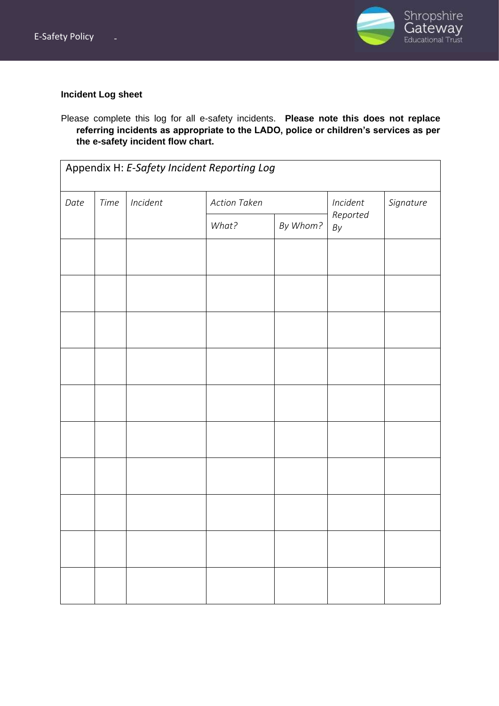

#### **Incident Log sheet**

Please complete this log for all e-safety incidents. **Please note this does not replace referring incidents as appropriate to the LADO, police or children's services as per the e-safety incident flow chart.**

| Appendix H: E-Safety Incident Reporting Log |      |          |                     |          |                           |  |  |
|---------------------------------------------|------|----------|---------------------|----------|---------------------------|--|--|
| Date                                        | Time | Incident | <b>Action Taken</b> | Incident | Signature                 |  |  |
|                                             |      |          | What?               | By Whom? | Reported<br>$\mathit{By}$ |  |  |
|                                             |      |          |                     |          |                           |  |  |
|                                             |      |          |                     |          |                           |  |  |
|                                             |      |          |                     |          |                           |  |  |
|                                             |      |          |                     |          |                           |  |  |
|                                             |      |          |                     |          |                           |  |  |
|                                             |      |          |                     |          |                           |  |  |
|                                             |      |          |                     |          |                           |  |  |
|                                             |      |          |                     |          |                           |  |  |
|                                             |      |          |                     |          |                           |  |  |
|                                             |      |          |                     |          |                           |  |  |
|                                             |      |          |                     |          |                           |  |  |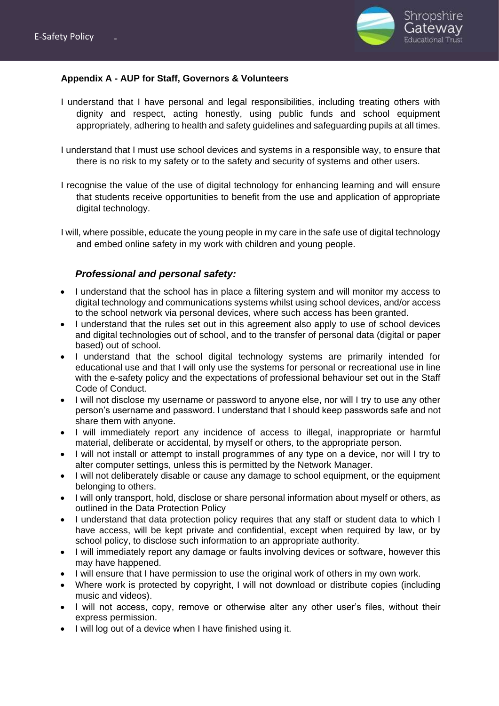

#### **Appendix A - AUP for Staff, Governors & Volunteers**

- I understand that I have personal and legal responsibilities, including treating others with dignity and respect, acting honestly, using public funds and school equipment appropriately, adhering to health and safety guidelines and safeguarding pupils at all times.
- I understand that I must use school devices and systems in a responsible way, to ensure that there is no risk to my safety or to the safety and security of systems and other users.
- I recognise the value of the use of digital technology for enhancing learning and will ensure that students receive opportunities to benefit from the use and application of appropriate digital technology.
- I will, where possible, educate the young people in my care in the safe use of digital technology and embed online safety in my work with children and young people.

#### *Professional and personal safety:*

- I understand that the school has in place a filtering system and will monitor my access to digital technology and communications systems whilst using school devices, and/or access to the school network via personal devices, where such access has been granted.
- I understand that the rules set out in this agreement also apply to use of school devices and digital technologies out of school, and to the transfer of personal data (digital or paper based) out of school.
- I understand that the school digital technology systems are primarily intended for educational use and that I will only use the systems for personal or recreational use in line with the e-safety policy and the expectations of professional behaviour set out in the Staff Code of Conduct.
- I will not disclose my username or password to anyone else, nor will I try to use any other person's username and password. I understand that I should keep passwords safe and not share them with anyone.
- I will immediately report any incidence of access to illegal, inappropriate or harmful material, deliberate or accidental, by myself or others, to the appropriate person.
- I will not install or attempt to install programmes of any type on a device, nor will I try to alter computer settings, unless this is permitted by the Network Manager.
- I will not deliberately disable or cause any damage to school equipment, or the equipment belonging to others.
- I will only transport, hold, disclose or share personal information about myself or others, as outlined in the Data Protection Policy
- I understand that data protection policy requires that any staff or student data to which I have access, will be kept private and confidential, except when required by law, or by school policy, to disclose such information to an appropriate authority.
- I will immediately report any damage or faults involving devices or software, however this may have happened.
- I will ensure that I have permission to use the original work of others in my own work.
- Where work is protected by copyright, I will not download or distribute copies (including music and videos).
- I will not access, copy, remove or otherwise alter any other user's files, without their express permission.
- I will log out of a device when I have finished using it.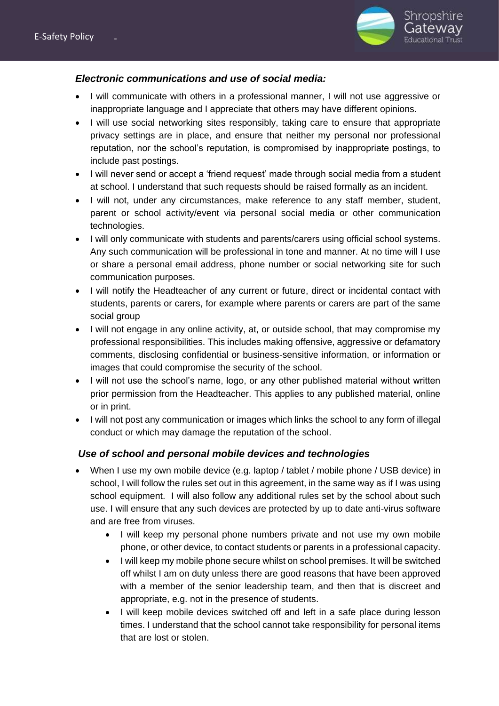

#### *Electronic communications and use of social media:*

- I will communicate with others in a professional manner, I will not use aggressive or inappropriate language and I appreciate that others may have different opinions.
- I will use social networking sites responsibly, taking care to ensure that appropriate privacy settings are in place, and ensure that neither my personal nor professional reputation, nor the school's reputation, is compromised by inappropriate postings, to include past postings.
- I will never send or accept a 'friend request' made through social media from a student at school. I understand that such requests should be raised formally as an incident.
- I will not, under any circumstances, make reference to any staff member, student, parent or school activity/event via personal social media or other communication technologies.
- I will only communicate with students and parents/carers using official school systems. Any such communication will be professional in tone and manner. At no time will I use or share a personal email address, phone number or social networking site for such communication purposes.
- I will notify the Headteacher of any current or future, direct or incidental contact with students, parents or carers, for example where parents or carers are part of the same social group
- I will not engage in any online activity, at, or outside school, that may compromise my professional responsibilities. This includes making offensive, aggressive or defamatory comments, disclosing confidential or business-sensitive information, or information or images that could compromise the security of the school.
- I will not use the school's name, logo, or any other published material without written prior permission from the Headteacher. This applies to any published material, online or in print.
- I will not post any communication or images which links the school to any form of illegal conduct or which may damage the reputation of the school.

#### *Use of school and personal mobile devices and technologies*

- When I use my own mobile device (e.g. laptop / tablet / mobile phone / USB device) in school, I will follow the rules set out in this agreement, in the same way as if I was using school equipment. I will also follow any additional rules set by the school about such use. I will ensure that any such devices are protected by up to date anti-virus software and are free from viruses.
	- I will keep my personal phone numbers private and not use my own mobile phone, or other device, to contact students or parents in a professional capacity.
	- I will keep my mobile phone secure whilst on school premises. It will be switched off whilst I am on duty unless there are good reasons that have been approved with a member of the senior leadership team, and then that is discreet and appropriate, e.g. not in the presence of students.
	- I will keep mobile devices switched off and left in a safe place during lesson times. I understand that the school cannot take responsibility for personal items that are lost or stolen.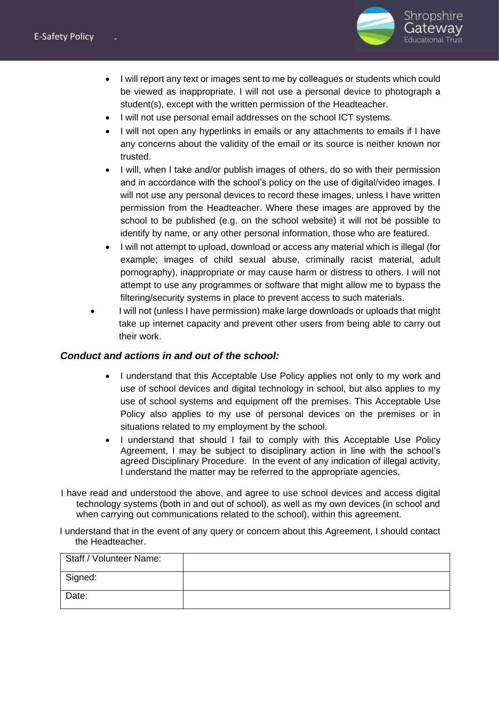

- I will report any text or images sent to me by colleagues or students which could be viewed as inappropriate. I will not use a personal device to photograph a student(s), except with the written permission of the Headteacher.
- I will not use personal email addresses on the school ICT systems.
- I will not open any hyperlinks in emails or any attachments to emails if I have any concerns about the validity of the email or its source is neither known nor trusted.
- I will, when I take and/or publish images of others, do so with their permission and in accordance with the school's policy on the use of digital/video images. I will not use any personal devices to record these images, unless I have written permission from the Headteacher. Where these images are approved by the school to be published (e.g. on the school website) it will not be possible to identify by name, or any other personal information, those who are featured.
- I will not attempt to upload, download or access any material which is illegal (for example; images of child sexual abuse, criminally racist material, adult pornography), inappropriate or may cause harm or distress to others. I will not attempt to use any programmes or software that might allow me to bypass the filtering/security systems in place to prevent access to such materials.
- I will not (unless I have permission) make large downloads or uploads that might take up internet capacity and prevent other users from being able to carry out their work.

#### *Conduct and actions in and out of the school:*

- I understand that this Acceptable Use Policy applies not only to my work and use of school devices and digital technology in school, but also applies to my use of school systems and equipment off the premises. This Acceptable Use Policy also applies to my use of personal devices on the premises or in situations related to my employment by the school.
- I understand that should I fail to comply with this Acceptable Use Policy Agreement, I may be subject to disciplinary action in line with the school's agreed Disciplinary Procedure. In the event of any indication of illegal activity, I understand the matter may be referred to the appropriate agencies.
- I have read and understood the above, and agree to use school devices and access digital technology systems (both in and out of school), as well as my own devices (in school and when carrying out communications related to the school), within this agreement.

I understand that in the event of any query or concern about this Agreement, I should contact the Headteacher.

| Staff / Volunteer Name: |  |
|-------------------------|--|
| Signed:                 |  |
| Date:                   |  |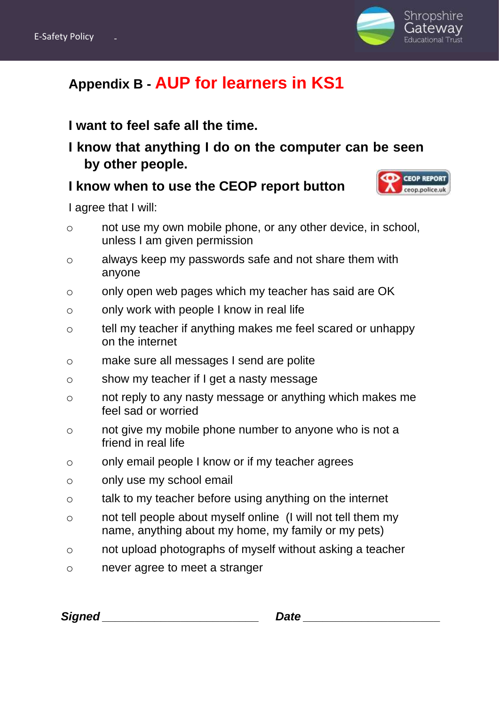

## **Appendix B - AUP for learners in KS1**

## **I want to feel safe all the time.**

**I know that anything I do on the computer can be seen by other people.**

## **I know when to use the CEOP report button**

I agree that I will:

- o not use my own mobile phone, or any other device, in school, unless I am given permission
- o always keep my passwords safe and not share them with anyone
- o only open web pages which my teacher has said are OK
- o only work with people I know in real life
- o tell my teacher if anything makes me feel scared or unhappy on the internet
- o make sure all messages I send are polite
- o show my teacher if I get a nasty message
- o not reply to any nasty message or anything which makes me feel sad or worried
- o not give my mobile phone number to anyone who is not a friend in real life
- o only email people I know or if my teacher agrees
- o only use my school email
- o talk to my teacher before using anything on the internet
- o not tell people about myself online (I will not tell them my name, anything about my home, my family or my pets)
- o not upload photographs of myself without asking a teacher
- o never agree to meet a stranger

| <b>Signed</b> | Date |  |
|---------------|------|--|
|               |      |  |

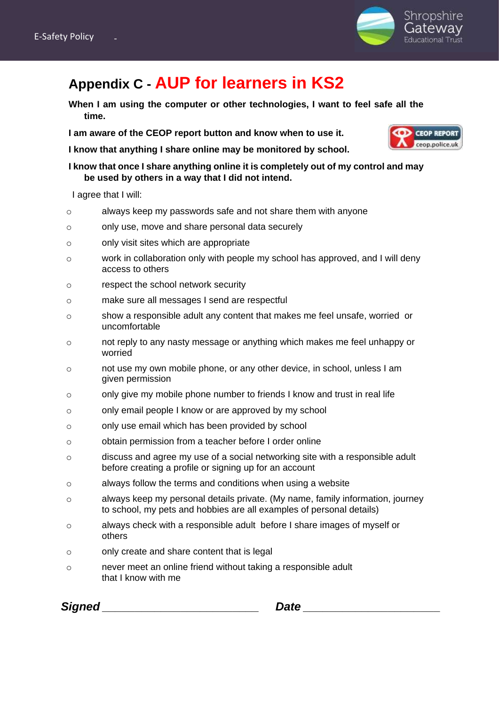

## **Appendix C - AUP for learners in KS2**

**When I am using the computer or other technologies, I want to feel safe all the time.** 

**I am aware of the CEOP report button and know when to use it.**

**I know that anything I share online may be monitored by school.**

**I know that once I share anything online it is completely out of my control and may be used by others in a way that I did not intend.**

I agree that I will:

- o always keep my passwords safe and not share them with anyone
- o only use, move and share personal data securely
- o only visit sites which are appropriate
- o work in collaboration only with people my school has approved, and I will deny access to others
- o respect the school network security
- o make sure all messages I send are respectful
- o show a responsible adult any content that makes me feel unsafe, worried or uncomfortable
- o not reply to any nasty message or anything which makes me feel unhappy or worried
- o not use my own mobile phone, or any other device, in school, unless I am given permission
- $\circ$  only give my mobile phone number to friends I know and trust in real life
- o only email people I know or are approved by my school
- o only use email which has been provided by school
- o obtain permission from a teacher before I order online
- o discuss and agree my use of a social networking site with a responsible adult before creating a profile or signing up for an account
- o always follow the terms and conditions when using a website
- o always keep my personal details private. (My name, family information, journey to school, my pets and hobbies are all examples of personal details)
- o always check with a responsible adult before I share images of myself or others
- o only create and share content that is legal
- o never meet an online friend without taking a responsible adult that I know with me

| <b>Signed</b> |  |
|---------------|--|
|               |  |

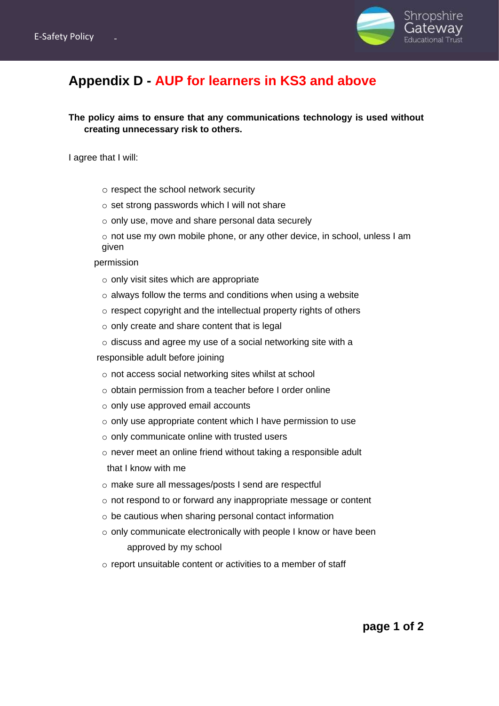

## **Appendix D - AUP for learners in KS3 and above**

**The policy aims to ensure that any communications technology is used without creating unnecessary risk to others.**

I agree that I will:

- o respect the school network security
- o set strong passwords which I will not share
- o only use, move and share personal data securely
- o not use my own mobile phone, or any other device, in school, unless I am given

permission

- $\circ$  only visit sites which are appropriate
- o always follow the terms and conditions when using a website
- o respect copyright and the intellectual property rights of others
- $\circ$  only create and share content that is legal
- o discuss and agree my use of a social networking site with a

responsible adult before joining

- o not access social networking sites whilst at school
- o obtain permission from a teacher before I order online
- o only use approved email accounts
- o only use appropriate content which I have permission to use
- o only communicate online with trusted users
- o never meet an online friend without taking a responsible adult that I know with me
- o make sure all messages/posts I send are respectful
- o not respond to or forward any inappropriate message or content
- o be cautious when sharing personal contact information
- o only communicate electronically with people I know or have been approved by my school
- o report unsuitable content or activities to a member of staff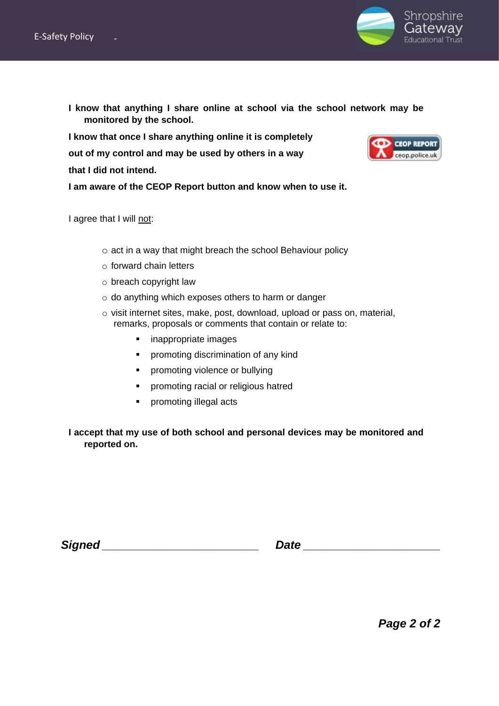

**I know that anything I share online at school via the school network may be monitored by the school.**

**I know that once I share anything online it is completely out of my control and may be used by others in a way that I did not intend.**

**I am aware of the CEOP Report button and know when to use it.**

I agree that I will not:

- o act in a way that might breach the school Behaviour policy
- o forward chain letters
- o breach copyright law
- o do anything which exposes others to harm or danger
- o visit internet sites, make, post, download, upload or pass on, material, remarks, proposals or comments that contain or relate to:
	- inappropriate images
	- **•** promoting discrimination of any kind
	- **•** promoting violence or bullying
	- **•** promoting racial or religious hatred
	- promoting illegal acts

**I accept that my use of both school and personal devices may be monitored and reported on.** 

| <b>Signed</b> |  |
|---------------|--|
|               |  |



*Page 2 of 2*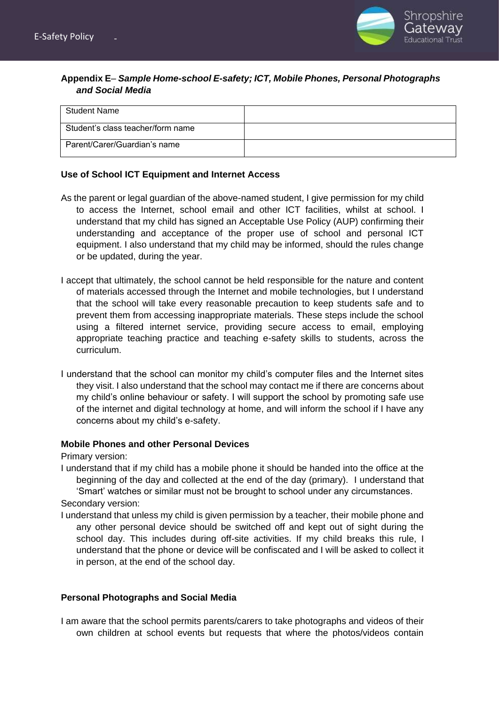

#### **Appendix E**– *Sample Home-school E-safety; ICT, Mobile Phones, Personal Photographs and Social Media*

| <b>Student Name</b>               |  |
|-----------------------------------|--|
| Student's class teacher/form name |  |
| Parent/Carer/Guardian's name      |  |

#### **Use of School ICT Equipment and Internet Access**

- As the parent or legal guardian of the above-named student, I give permission for my child to access the Internet, school email and other ICT facilities, whilst at school. I understand that my child has signed an Acceptable Use Policy (AUP) confirming their understanding and acceptance of the proper use of school and personal ICT equipment. I also understand that my child may be informed, should the rules change or be updated, during the year.
- I accept that ultimately, the school cannot be held responsible for the nature and content of materials accessed through the Internet and mobile technologies, but I understand that the school will take every reasonable precaution to keep students safe and to prevent them from accessing inappropriate materials. These steps include the school using a filtered internet service, providing secure access to email, employing appropriate teaching practice and teaching e-safety skills to students, across the curriculum.
- I understand that the school can monitor my child's computer files and the Internet sites they visit. I also understand that the school may contact me if there are concerns about my child's online behaviour or safety. I will support the school by promoting safe use of the internet and digital technology at home, and will inform the school if I have any concerns about my child's e-safety.

#### **Mobile Phones and other Personal Devices**

Primary version:

I understand that if my child has a mobile phone it should be handed into the office at the beginning of the day and collected at the end of the day (primary). I understand that 'Smart' watches or similar must not be brought to school under any circumstances.

Secondary version:

I understand that unless my child is given permission by a teacher, their mobile phone and any other personal device should be switched off and kept out of sight during the school day. This includes during off-site activities. If my child breaks this rule, I understand that the phone or device will be confiscated and I will be asked to collect it in person, at the end of the school day.

#### **Personal Photographs and Social Media**

I am aware that the school permits parents/carers to take photographs and videos of their own children at school events but requests that where the photos/videos contain